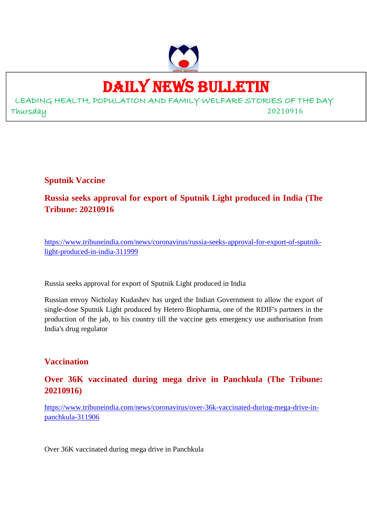

# DAILY NEWS BULLETIN

LEADING HEALTH, POPULATION AND FAMILY WELFARE STORIES OF THE DAY Thursday 20210916

**Sputnik Vaccine**

**Russia seeks approval for export of Sputnik Light produced in India (The Tribune: 20210916**

https://www.tribuneindia.com/news/coronavirus/russia-seeks-approval-for-export-of-sputniklight-produced-in-india-311999

Russia seeks approval for export of Sputnik Light produced in India

Russian envoy Nicholay Kudashev has urged the Indian Government to allow the export of single-dose Sputnik Light produced by Hetero Biopharma, one of the RDIF's partners in the production of the jab, to his country till the vaccine gets emergency use authorisation from India's drug regulator

## **Vaccination**

**Over 36K vaccinated during mega drive in Panchkula (The Tribune: 20210916)**

https://www.tribuneindia.com/news/coronavirus/over-36k-vaccinated-during-mega-drive-inpanchkula-311906

Over 36K vaccinated during mega drive in Panchkula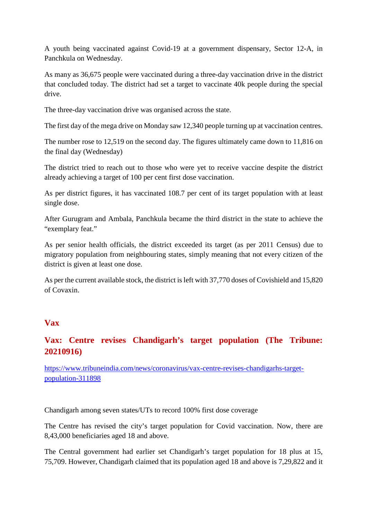A youth being vaccinated against Covid-19 at a government dispensary, Sector 12-A, in Panchkula on Wednesday.

As many as 36,675 people were vaccinated during a three-day vaccination drive in the district that concluded today. The district had set a target to vaccinate 40k people during the special drive.

The three-day vaccination drive was organised across the state.

The first day of the mega drive on Monday saw 12,340 people turning up at vaccination centres.

The number rose to 12,519 on the second day. The figures ultimately came down to 11,816 on the final day (Wednesday)

The district tried to reach out to those who were yet to receive vaccine despite the district already achieving a target of 100 per cent first dose vaccination.

As per district figures, it has vaccinated 108.7 per cent of its target population with at least single dose.

After Gurugram and Ambala, Panchkula became the third district in the state to achieve the "exemplary feat."

As per senior health officials, the district exceeded its target (as per 2011 Census) due to migratory population from neighbouring states, simply meaning that not every citizen of the district is given at least one dose.

As per the current available stock, the district is left with 37,770 doses of Covishield and 15,820 of Covaxin.

#### **Vax**

# **Vax: Centre revises Chandigarh's target population (The Tribune: 20210916)**

https://www.tribuneindia.com/news/coronavirus/vax-centre-revises-chandigarhs-targetpopulation-311898

Chandigarh among seven states/UTs to record 100% first dose coverage

The Centre has revised the city's target population for Covid vaccination. Now, there are 8,43,000 beneficiaries aged 18 and above.

The Central government had earlier set Chandigarh's target population for 18 plus at 15, 75,709. However, Chandigarh claimed that its population aged 18 and above is 7,29,822 and it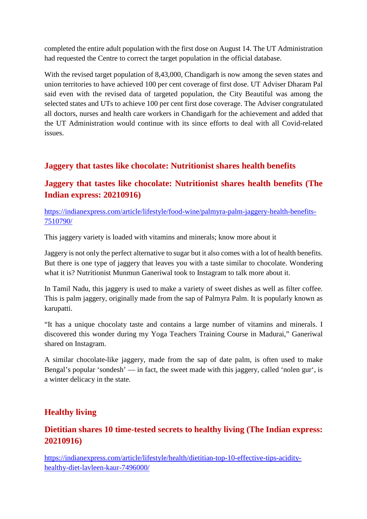completed the entire adult population with the first dose on August 14. The UT Administration had requested the Centre to correct the target population in the official database.

With the revised target population of 8,43,000, Chandigarh is now among the seven states and union territories to have achieved 100 per cent coverage of first dose. UT Adviser Dharam Pal said even with the revised data of targeted population, the City Beautiful was among the selected states and UTs to achieve 100 per cent first dose coverage. The Adviser congratulated all doctors, nurses and health care workers in Chandigarh for the achievement and added that the UT Administration would continue with its since efforts to deal with all Covid-related issues.

## **Jaggery that tastes like chocolate: Nutritionist shares health benefits**

# **Jaggery that tastes like chocolate: Nutritionist shares health benefits (The Indian express: 20210916)**

https://indianexpress.com/article/lifestyle/food-wine/palmyra-palm-jaggery-health-benefits-7510790/

This jaggery variety is loaded with vitamins and minerals; know more about it

Jaggery is not only the perfect alternative to sugar but it also comes with a lot of health benefits. But there is one type of jaggery that leaves you with a taste similar to chocolate. Wondering what it is? Nutritionist Munmun Ganeriwal took to Instagram to talk more about it.

In Tamil Nadu, this jaggery is used to make a variety of sweet dishes as well as filter coffee. This is palm jaggery, originally made from the sap of Palmyra Palm. It is popularly known as karupatti.

"It has a unique chocolaty taste and contains a large number of vitamins and minerals. I discovered this wonder during my Yoga Teachers Training Course in Madurai," Ganeriwal shared on Instagram.

A similar chocolate-like jaggery, made from the sap of date palm, is often used to make Bengal's popular 'sondesh' — in fact, the sweet made with this jaggery, called 'nolen gur', is a winter delicacy in the state.

# **Healthy living**

# **Dietitian shares 10 time-tested secrets to healthy living (The Indian express: 20210916)**

https://indianexpress.com/article/lifestyle/health/dietitian-top-10-effective-tips-acidityhealthy-diet-lavleen-kaur-7496000/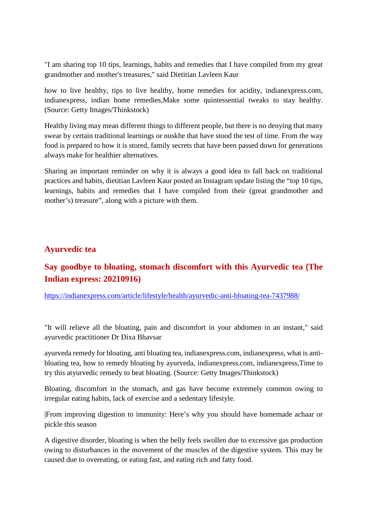"I am sharing top 10 tips, learnings, habits and remedies that I have compiled from my great grandmother and mother's treasures," said Dietitian Lavleen Kaur

how to live healthy, tips to live healthy, home remedies for acidity, indianexpress.com, indianexpress, indian home remedies,Make some quintessential tweaks to stay healthy. (Source: Getty Images/Thinkstock)

Healthy living may mean different things to different people, but there is no denying that many swear by certain traditional learnings or nuskhe that have stood the test of time. From the way food is prepared to how it is stored, family secrets that have been passed down for generations always make for healthier alternatives.

Sharing an important reminder on why it is always a good idea to fall back on traditional practices and habits, dietitian Lavleen Kaur posted an Instagram update listing the "top 10 tips, learnings, habits and remedies that I have compiled from their (great grandmother and mother's) treasure", along with a picture with them.

#### **Ayurvedic tea**

# **Say goodbye to bloating, stomach discomfort with this Ayurvedic tea (The Indian express: 20210916)**

https://indianexpress.com/article/lifestyle/health/ayurvedic-anti-bloating-tea-7437988/

"It will relieve all the bloating, pain and discomfort in your abdomen in an instant," said ayurvedic practitioner Dr Dixa Bhavsar

ayurveda remedy for bloating, anti bloating tea, indianexpress.com, indianexpress, what is antibloating tea, how to remedy bloating by ayurveda, indianexpress.com, indianexpress,Time to try this atyurvedic remedy to beat bloating. (Source: Getty Images/Thinkstock)

Bloating, discomfort in the stomach, and gas have become extremely common owing to irregular eating habits, lack of exercise and a sedentary lifestyle.

|From improving digestion to immunity: Here's why you should have homemade achaar or pickle this season

A digestive disorder, bloating is when the belly feels swollen due to excessive gas production owing to disturbances in the movement of the muscles of the digestive system. This may be caused due to overeating, or eating fast, and eating rich and fatty food.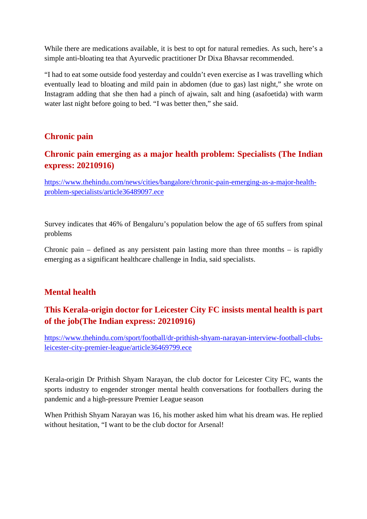While there are medications available, it is best to opt for natural remedies. As such, here's a simple anti-bloating tea that Ayurvedic practitioner Dr Dixa Bhavsar recommended.

"I had to eat some outside food yesterday and couldn't even exercise as I was travelling which eventually lead to bloating and mild pain in abdomen (due to gas) last night," she wrote on Instagram adding that she then had a pinch of ajwain, salt and hing (asafoetida) with warm water last night before going to bed. "I was better then," she said.

#### **Chronic pain**

# **Chronic pain emerging as a major health problem: Specialists (The Indian express: 20210916)**

https://www.thehindu.com/news/cities/bangalore/chronic-pain-emerging-as-a-major-healthproblem-specialists/article36489097.ece

Survey indicates that 46% of Bengaluru's population below the age of 65 suffers from spinal problems

Chronic pain – defined as any persistent pain lasting more than three months – is rapidly emerging as a significant healthcare challenge in India, said specialists.

## **Mental health**

# **This Kerala-origin doctor for Leicester City FC insists mental health is part of the job(The Indian express: 20210916)**

https://www.thehindu.com/sport/football/dr-prithish-shyam-narayan-interview-football-clubsleicester-city-premier-league/article36469799.ece

Kerala-origin Dr Prithish Shyam Narayan, the club doctor for Leicester City FC, wants the sports industry to engender stronger mental health conversations for footballers during the pandemic and a high-pressure Premier League season

When Prithish Shyam Narayan was 16, his mother asked him what his dream was. He replied without hesitation, "I want to be the club doctor for Arsenal!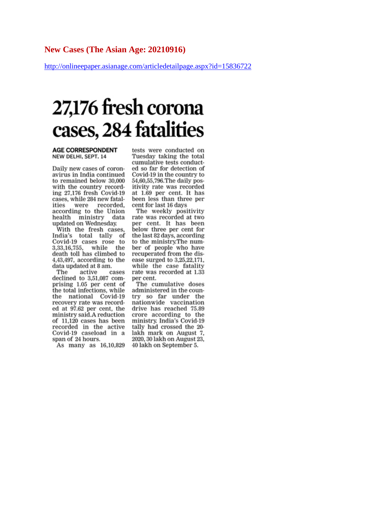http://onlineepaper.asianage.com/articledetailpage.aspx?id=15836722

# 27,176 fresh corona cases, 284 fatalities

#### **AGE CORRESPONDENT** NEW DELHI, SEPT. 14

Daily new cases of coronavirus in India continued to remained below 30,000 with the country recording 27,176 fresh Covid-19 cases, while 284 new fatalities were recorded, according to the Union health ministry data updated on Wednesday.

With the fresh cases, India's total tally of Covid-19 cases rose to 3,33,16,755, while the death toll has climbed to 4,43,497, according to the data updated at 8 am.

The active cases declined to 3,51,087 comprising 1.05 per cent of the total infections, while the national Covid-19 recovery rate was recorded at 97.62 per cent, the ministry said.A reduction of 11,120 cases has been recorded in the active Covid-19 caseload in a span of 24 hours.

As many as 16,10,829

tests were conducted on Tuesday taking the total cumulative tests conducted so far for detection of Covid-19 in the country to 54,60,55,796. The daily positivity rate was recorded at 1.69 per cent. It has been less than three per cent for last 16 days

The weekly positivity<br>rate was recorded at two per cent. It has been below three per cent for the last 82 days, according to the ministry.The number of people who have recuperated from the disease surged to 3,25,22,171, while the case fatality rate was recorded at 1.33 per cent.

The cumulative doses administered in the country so far under the nationwide vaccination drive has reached 75.89 crore according to the<br>ministry. India's Covid-19 tally had crossed the 20lakh mark on August 7, 2020, 30 lakh on August 23, 40 lakh on September 5.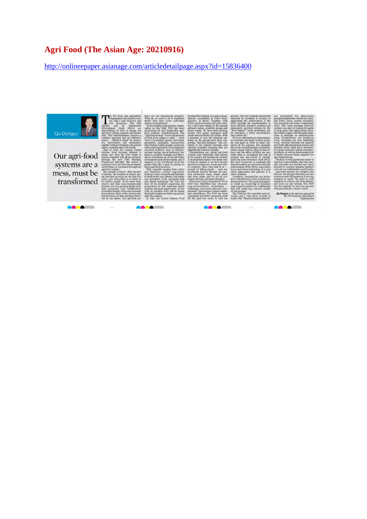# **Agri Food (The Asian Age: 20210916)**

http://onlineepaper.asianage.com/articledetailpage.aspx?id=15836400

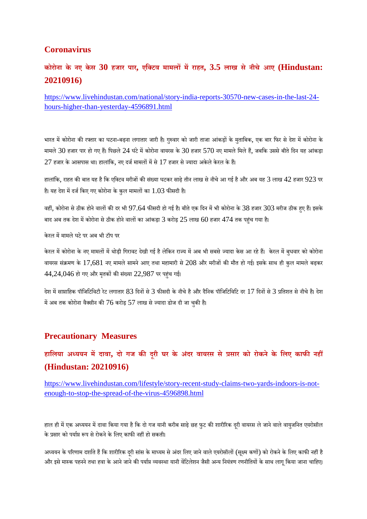#### **Coronavirus**

# **कोरोना के नए केस 30 हजार पार, एिटव मामलमराहत, 3.5 लाख से नीचे आए (Hindustan: 20210916)**

https://www.livehindustan.com/national/story-india-reports-30570-new-cases-in-the-last-24 hours-higher-than-yesterday-4596891.html

भारत में कोरोना की रफ्तार का घटना-बढ़ना लगातार जारी है। गुरुवार को जारी ताजा आंकड़ों के मुताबिक, एक बार फिर से देश में कोरोना के मामले 30 हजार पार हो गए हैं। पिछले 24 घंटे में कोरोना वायरस के 30 हजार 570 नए मामले मिले हैं, जबकि उससे बीते दिन यह आंकड़ा  $27$  हजार के आसपास था। हालांकि, नए दर्ज मामलों में से  $17$  हजार से ज्यादा अकेले केरल के हैं।

हालांकि, राहत की बात यह है कि एक्टिव मरीजों की संख्या घटकर साढ़े तीन लाख से नीचे आ गई है और अब यह  $3$  लाख  $42$  हजार  $923$  पर है। यह देश में दर्ज किए गए कोरोना के कुल मामलों का  $1.03$  फीसदी है।

वहीं, कोरोना से ठीक होने वालों की दर भी 97.64 फीसदी हो गई है। बीते एक दिन में भी कोरोना के 38 हजार 303 मरीज ठीक हुए हैं। इसके बाद अब तक देश में कोरोना से ठीक होने वालों का आंकड़ा 3 करोड़  $25$  लाख  $60$  हजार  $474$  तक पहंच गया है।

केरल में मामले घटे पर अब भी टॉप पर

केरल में कोरोना के नए मामलों में थोड़ी गिरावट देखी गई है लेकिन राज्य में अब भी सबसे ज्यादा केस आ रहे हैं। केरल में बुधवार को कोरोना वायरस संक्रमण के 17,681 नए मामले सामने आए तथा महामारी से 208 और मरीजों की मौत हो गई। इसके साथ ही कुल मामले बढ़कर  $44,24,046$  हो गए और मृतकों की संख्या  $22,987$  पर पहंच गई।

देश में साप्ताहिक पॉजिटिविटी रेट लगातार 83 दिनों से 3 फीसदी के नीचे है और दैनिक पॉजिटिविटि दर 17 दिनों से 3 प्रतिशत से नीचे है। देश में अब तक कोरोना वैक्सीन की  $76$  करोड़  $57$  लाख से ज्यादा डोज दी जा चुकी है।

#### **Precautionary Measures**

# **हािलया अययन मदावा, दो गज कदूरी घर के अंदर वायरस से सार को रोकने के िलए काफनह (Hindustan: 20210916)**

https://www.livehindustan.com/lifestyle/story-recent-study-claims-two-yards-indoors-is-notenough-to-stop-the-spread-of-the-virus-4596898.html

हाल ही में एक अध्ययन में दावा किया गया है कि दो गज यानी करीब साढ़े छह फुट की शारीरिक दूरी वायरस ले जाने वाले वायुजनित एयरोसॉल के प्रसार को पर्याप्त रूप से रोकने के लिए काफी नहीं हो सकती।

अध्ययन के परिणाम दर्शाते हैं कि शारीरिक दूरी सांस के माध्यम से अंदर लिए जाने वाले एयरोसॉलों (सूक्ष्म कणों) को रोकने के लिए काफी नहीं है और इसे मास्क पहनने तथा हवा के आने जाने की पर्याप्त व्यवस्था यानी वेंटिलेशन जैसी अन्य नियंत्रण रणनीतियों के साथ लागू किया जाना चाहिए।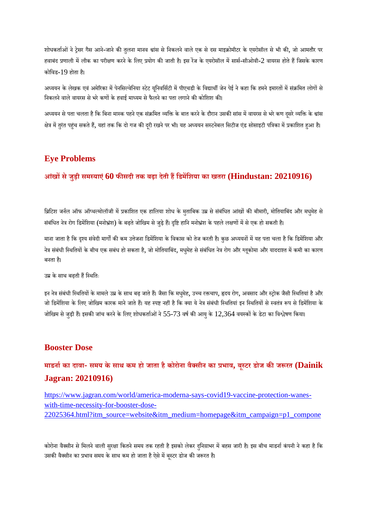शोधकर्ताओं ने ट्रेसर गैस आने-जाने की तुलना मानव श्वांस से निकलने वाले एक से दस माइक्रोमीटर के एयरोसॉल से भी की, जो आमतौर पर हवाबंद प्रणाली में लीक का परीक्षण करने के लिए प्रयोग की जाती है। इस रेंज के एयरोसॉल में सार्स-सीओवी-2 वायरस होते हैं जिसके कारण कोिवड-19 होता ह।ै

अध्ययन के लेखक एवं अमेरिका में पेनसिल्वेनिया स्टेट यूनिवर्सिटी में पीएचडी के विद्यार्थी जेन पेई ने कहा कि हमने इमारतों में संक्रमित लोगों से निकलने वाले वायरस से भरे कणों के हवाई माध्यम से फैलने का पता लगाने की कोशिश की।

अध्ययन से पता चलता है कि बिना मास्क पहने एक संक्रमित व्यक्ति के बात करने के दौरान उसकी सांस में वायरस से भरे कण दूसरे व्यक्ति के श्वांस क्षेत्र में तुरंत पहुंच सकते हैं, यहां तक कि दो गज की दूरी रखने पर भी। यह अध्ययन सस्टनेबल सिटीज एंड सोसाइटी पत्रिका में प्रकाशित हुआ है।

#### **Eye Problems**

# **आखं सेजुड़ी समयाएं60 फसदी तक बढ़ा देती हिडमिशया का खतरा (Hindustan: 20210916)**

ब्रिटिश जर्नल ऑफ ऑप्थल्मोलॉजी में प्रकाशित एक हालिया शोध के मुताबिक उम्र से संबंधित आंखों की बीमारी, मोतियाबिंद और मधुमेह से संबंधित नेत्र रोग डिमेंशिया (मनोभ्रंश) के बढ़ते जोखिम से जुड़े हैं। दृष्टि हानि मनोभ्रंश के पहले लक्षणों में से एक हो सकती है।

माना जाता है कि दृश्य संवेदी मार्गों की कम उत्तेजना डिमेंशिया के विकास को तेज करती है। कुछ अध्ययनों में यह पता चला है कि डिमेंशिया और नेत्र संबंधी स्थितियों के बीच एक सबंध हो सकता है, जो मोतियाबिंद, मधुमेह से संबंधित नेत्र रोग और ग्लुकोमा और याददाश्त में कमी का कारण बनता ह।ै

उके साथ बढ़ती हिथितः

इन नेत्र संबंधी स्थितियों के मामले उम्र के साथ बढ़ जाते हैं। जैसा कि मधुमेह, उच्च रक्तचाप, हृदय रोग, अवसाद और स्ट्रोक जैसी स्थितियां है और जो डिमेंशिया के लिए जोखिम कारक माने जाते हैं। यह स्पष्ट नहीं है कि क्या ये नेत्र संबंधी स्थितियां इन स्थितियों से स्वतंत्र रूप से डिमेंशिया के जोखिम से जुड़ी हैं। इसकी जांच करने के लिए शोधकर्ताओं ने 55-73 वर्ष की आयु के  $12,364$  वयस्कों के डेटा का विश्लेषण किया।

#### **Booster Dose**

**माडनाका दावा- समय के साथ कम हो जाता हैकोरोना वैसीन का भाव, बूटर डोज कजरत (Dainik Jagran: 20210916)**

https://www.jagran.com/world/america-moderna-says-covid19-vaccine-protection-waneswith-time-necessity-for-booster-dose-22025364.html?itm\_source=website&itm\_medium=homepage&itm\_campaign=p1\_compone

कोरोना वैक्सीन से मिलने वाली सुरक्षा कितने समय तक रहती है इसको लेकर दुनिय़ाभर में बहस जारी है। इस बीच माडर्ना कंपनी ने कहा है कि उसकी वैक्सीन का प्रभाव समय के साथ कम हो जाता है ऐसे में बुस्टर डोज की जरूरत है।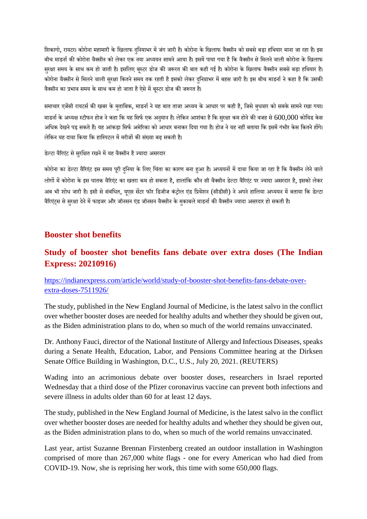शिकागो, रायटर। कोरोना महामारी के खिलाफ दनियाभर में जंग जारी है। कोरोना के खिलाफ वैक्सीन को सबसे बड़ा हथियार माना जा रहा है। इस बीच माडर्ना की कोरोना वैक्सीन को लेकर एक नया अध्ययन सामने आया है। इसमें पाया गया है कि वैक्सीन से मिलने वाली कोरोना के खिलाफ सुरक्षा समय के साथ कम हो जाती है। इसलिए बुस्टर डोज की जरूरत की बात कही गई है। कोरोना के खिलाफ वैक्सीन सबसे बड़ा हथियार है। कोरोना वैक्सीन से मिलने वाली सरक्षा कितने समय तक रहती है इसको लेकर दनिय़ाभर में बहस जारी है। इस बीच माडर्ना ने कहा है कि उसकी वैक्सीन का प्रभाव समय के साथ कम हो जाता है ऐसे में बृस्टर डोज की जरूरत है।

समाचार एजेंसी रायटर्स की खबर के मुताबिक, माडर्ना ने यह बात ताजा अध्यय के आधार पर कही है, जिसे बुधवार को सबके सामने रखा गया। माडर्ना के अध्यक्ष स्टीफन होज ने कहा कि यह सिर्फ एक अनुमान है। लेकिन आशंका है कि सुरक्षा कम होने की वजह से  $600,\!000$  कोविड केस अधिक देखने पड़ सकते हैं। यह आंकड़ा सिर्फ अमेरिका को आधार बनाकर दिया गया है। होज ने यह नहीं बताया कि इसमें गंभीर केस कितने होंगे। लेकिन यह दावा किया कि हास्पिटल में मरीजों की संख्या बढ़ सकती है।

डेल्टा वैरिएंट से सरक्षित रखने में यह वैक्सीन है ज्यादा असरदार

कोरोना का डेल्टा वैरिएंट इस समय पूरी दनिया के लिए चिंता का कारण बना हआ है। अध्ययनों में दावा किया जा रहा है कि वैक्सीन लेने वाले लोगों में कोरोना के इस घातक वैरिएंट का खतरा कम हो सकता है. हालांकि कौन सी वैक्सीन डेल्टा वैरिएंट पर ज्यादा असरदार है. इसको लेकर अब भी शोध जारी है। इसी से संबंधित, यएस सेंटर फॉर डिजीज कंटोल एंड प्रिवेंशन (सीडीसी) ने अपने हालिया अध्ययन में बताया कि डेल्टा वैरिएंट्स से सुरक्षा देने में फाइजर और जॉनसन एंड जॉनसन वैक्सीन के मुकाबले माडर्ना की वैक्सीन ज्यादा असरदार हो सकती है।

#### **Booster shot benefits**

# **Study of booster shot benefits fans debate over extra doses (The Indian Express: 20210916)**

#### https://indianexpress.com/article/world/study-of-booster-shot-benefits-fans-debate-overextra-doses-7511926/

The study, published in the New England Journal of Medicine, is the latest salvo in the conflict over whether booster doses are needed for healthy adults and whether they should be given out, as the Biden administration plans to do, when so much of the world remains unvaccinated.

Dr. Anthony Fauci, director of the National Institute of Allergy and Infectious Diseases, speaks during a Senate Health, Education, Labor, and Pensions Committee hearing at the Dirksen Senate Office Building in Washington, D.C., U.S., July 20, 2021. (REUTERS)

Wading into an acrimonious debate over booster doses, researchers in Israel reported Wednesday that a third dose of the Pfizer coronavirus vaccine can prevent both infections and severe illness in adults older than 60 for at least 12 days.

The study, published in the New England Journal of Medicine, is the latest salvo in the conflict over whether booster doses are needed for healthy adults and whether they should be given out, as the Biden administration plans to do, when so much of the world remains unvaccinated.

Last year, artist Suzanne Brennan Firstenberg created an outdoor installation in Washington comprised of more than 267,000 white flags - one for every American who had died from COVID-19. Now, she is reprising her work, this time with some 650,000 flags.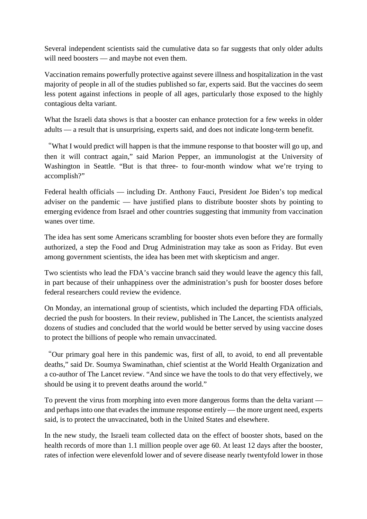Several independent scientists said the cumulative data so far suggests that only older adults will need boosters — and maybe not even them.

Vaccination remains powerfully protective against severe illness and hospitalization in the vast majority of people in all of the studies published so far, experts said. But the vaccines do seem less potent against infections in people of all ages, particularly those exposed to the highly contagious delta variant.

What the Israeli data shows is that a booster can enhance protection for a few weeks in older adults — a result that is unsurprising, experts said, and does not indicate long-term benefit.

"What I would predict will happen is that the immune response to that booster will go up, and then it will contract again," said Marion Pepper, an immunologist at the University of Washington in Seattle. "But is that three- to four-month window what we're trying to accomplish?"

Federal health officials — including Dr. Anthony Fauci, President Joe Biden's top medical adviser on the pandemic — have justified plans to distribute booster shots by pointing to emerging evidence from Israel and other countries suggesting that immunity from vaccination wanes over time.

The idea has sent some Americans scrambling for booster shots even before they are formally authorized, a step the Food and Drug Administration may take as soon as Friday. But even among government scientists, the idea has been met with skepticism and anger.

Two scientists who lead the FDA's vaccine branch said they would leave the agency this fall, in part because of their unhappiness over the administration's push for booster doses before federal researchers could review the evidence.

On Monday, an international group of scientists, which included the departing FDA officials, decried the push for boosters. In their review, published in The Lancet, the scientists analyzed dozens of studies and concluded that the world would be better served by using vaccine doses to protect the billions of people who remain unvaccinated.

"Our primary goal here in this pandemic was, first of all, to avoid, to end all preventable deaths," said Dr. Soumya Swaminathan, chief scientist at the World Health Organization and a co-author of The Lancet review. "And since we have the tools to do that very effectively, we should be using it to prevent deaths around the world."

To prevent the virus from morphing into even more dangerous forms than the delta variant and perhaps into one that evades the immune response entirely — the more urgent need, experts said, is to protect the unvaccinated, both in the United States and elsewhere.

In the new study, the Israeli team collected data on the effect of booster shots, based on the health records of more than 1.1 million people over age 60. At least 12 days after the booster, rates of infection were elevenfold lower and of severe disease nearly twentyfold lower in those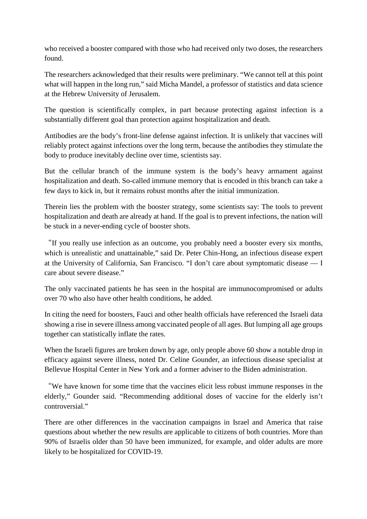who received a booster compared with those who had received only two doses, the researchers found.

The researchers acknowledged that their results were preliminary. "We cannot tell at this point what will happen in the long run," said Micha Mandel, a professor of statistics and data science at the Hebrew University of Jerusalem.

The question is scientifically complex, in part because protecting against infection is a substantially different goal than protection against hospitalization and death.

Antibodies are the body's front-line defense against infection. It is unlikely that vaccines will reliably protect against infections over the long term, because the antibodies they stimulate the body to produce inevitably decline over time, scientists say.

But the cellular branch of the immune system is the body's heavy armament against hospitalization and death. So-called immune memory that is encoded in this branch can take a few days to kick in, but it remains robust months after the initial immunization.

Therein lies the problem with the booster strategy, some scientists say: The tools to prevent hospitalization and death are already at hand. If the goal is to prevent infections, the nation will be stuck in a never-ending cycle of booster shots.

"If you really use infection as an outcome, you probably need a booster every six months, which is unrealistic and unattainable," said Dr. Peter Chin-Hong, an infectious disease expert at the University of California, San Francisco. "I don't care about symptomatic disease — I care about severe disease."

The only vaccinated patients he has seen in the hospital are immunocompromised or adults over 70 who also have other health conditions, he added.

In citing the need for boosters, Fauci and other health officials have referenced the Israeli data showing a rise in severe illness among vaccinated people of all ages. But lumping all age groups together can statistically inflate the rates.

When the Israeli figures are broken down by age, only people above 60 show a notable drop in efficacy against severe illness, noted Dr. Celine Gounder, an infectious disease specialist at Bellevue Hospital Center in New York and a former adviser to the Biden administration.

"We have known for some time that the vaccines elicit less robust immune responses in the elderly," Gounder said. "Recommending additional doses of vaccine for the elderly isn't controversial."

There are other differences in the vaccination campaigns in Israel and America that raise questions about whether the new results are applicable to citizens of both countries. More than 90% of Israelis older than 50 have been immunized, for example, and older adults are more likely to be hospitalized for COVID-19.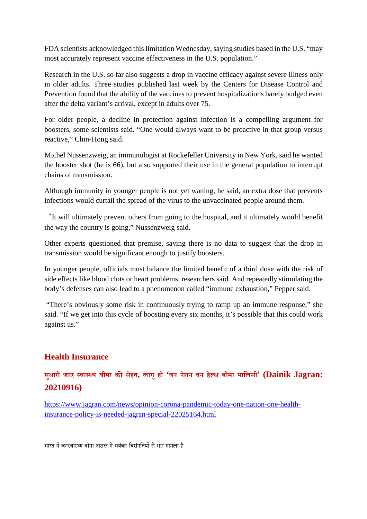FDA scientists acknowledged this limitation Wednesday, saying studies based in the U.S. "may most accurately represent vaccine effectiveness in the U.S. population."

Research in the U.S. so far also suggests a drop in vaccine efficacy against severe illness only in older adults. Three studies published last week by the Centers for Disease Control and Prevention found that the ability of the vaccines to prevent hospitalizations barely budged even after the delta variant's arrival, except in adults over 75.

For older people, a decline in protection against infection is a compelling argument for boosters, some scientists said. "One would always want to be proactive in that group versus reactive," Chin-Hong said.

Michel Nussenzweig, an immunologist at Rockefeller University in New York, said he wanted the booster shot (he is 66), but also supported their use in the general population to interrupt chains of transmission.

Although immunity in younger people is not yet waning, he said, an extra dose that prevents infections would curtail the spread of the virus to the unvaccinated people around them.

"It will ultimately prevent others from going to the hospital, and it ultimately would benefit the way the country is going," Nussenzweig said.

Other experts questioned that premise, saying there is no data to suggest that the drop in transmission would be significant enough to justify boosters.

In younger people, officials must balance the limited benefit of a third dose with the risk of side effects like blood clots or heart problems, researchers said. And repeatedly stimulating the body's defenses can also lead to a phenomenon called "immune exhaustion," Pepper said.

"There's obviously some risk in continuously trying to ramp up an immune response," she said. "If we get into this cycle of boosting every six months, it's possible that this could work against us."

## **Health Insurance**

# **सधुारी जाए वाय बीमा कसेहत, लागूहो 'वन नेशन वन हेथ बीमा पािलसी' (Dainik Jagran: 20210916)**

https://www.jagran.com/news/opinion-corona-pandemic-today-one-nation-one-healthinsurance-policy-is-needed-jagran-special-22025164.html

भारत में जनस्वास्थ्य बीमा असल में भयंकर विसंगतियों से भरा मामला है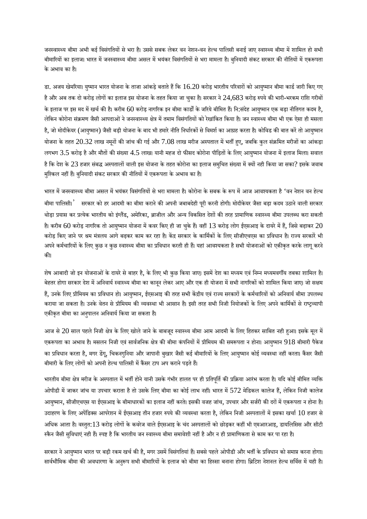जनस्वास्थ्य बीमा अभी कई विसंगतियों से भरा है। उससे सबक लेकर वन नेशन-वन हेल्थ पालिसी बनाई जाए स्वास्थ्य बीमा में शामिल हो सभी बीमारियों का इलाज। भारत में जनस्वास्थ्य बीमा असल में भयंकर विसंगतियों से भरा मामला है। बुनियादी संकट सरकार की नीतियों में एकरूपता केअभाव का ह।ै

डा. अजय खेमरिया। युष्मान भारत योजना के ताजा आंकड़े बताते हैं कि  $16.20$  करोड़ भारतीय परिवारों को आयुष्मान बीमा कार्ड जारी किए गए है और अब तक दो करोड़ लोगों का इलाज इस योजना के तहत किया जा चुका है। सरकार ने  $24,683$  करोड़ रुपये की भारी-भरकम राशि गरीबों के इलाज पर इस मद में खर्च की है। करीब 60 करोड़ नागरिक इन बीमा कार्डों के जरिये बीमित हैं। नि:संदेह आयुष्मान एक बड़ा नीतिगत कदम है, लेकिन कोरोना संक्रमण जैसी आपदाओं ने जनस्वास्थ्य क्षेत्र में तमाम विसंगतियों को रेखांकित किया है। जन स्वास्थ्य बीमा भी एक ऐसा ही मसला है, जो मोदीकेयर (आयुष्मान) जैसी बड़ी योजना के बाद भी हमारे नीति निर्धारकों से विमर्श का आग्रह करता है। कोविड की बात करें तो आयुष्मान योजना के तहत 20.32 लाख नमूनों की जांच की गई और 7.08 लाख मरीज अस्पताल में भर्ती हुए, जबकि कुल संक्रमित मरीजों का आंकड़ा लगभग  $3.5$  करोड़ है और मौतों की संख्या  $4.5$  लाख। यानी महज दो फीसद कोरोना पीड़ितों के लिए आयुष्मान योजना में इलाज मिला। सवाल है कि देश के  $23$  हजार संबद्ध अस्पतालों वाली इस योजना के तहत कोरोना का इलाज समुचित संख्या में क्यों नही किया जा सका? इसके जवाब मश्किल नहीं हैं। बनियादी संकट सरकार की नीतियों में एकरूपता के अभाव का है।

भारत में जनस्वास्थ्य बीमा असल में भयंकर विसंगतियों से भरा मामला है। कोरोना के सबक के रूप में आज आवश्यकता है 'वन नेशन वन हेल्थ बीमा पालिसी।<sup>'</sup> सरकार को हर आदमी का बीमा कराने की अपनी जबाबदेही पूरी करनी होगी। मोदीकेयर जैसा बड़ा कदम उठाने वाली सरकार थोड़ा प्रयास कर प्रत्येक भारतीय को इंग्लैंड, अमेरिका, ब्राजील और अन्य विकसित देशों की तरह प्रामाणिक स्वास्थ्य बीमा उपलब्ध करा सकती है। करीब 60 करोड़ नागरिक तो आयुष्मान योजना में कवर किए ही जा चुके हैं। वहीं  $13$  करोड़ लोग ईएसआइ के दायरे में हैं, जिसे बढ़ाकर  $20$ करोड़ किए जाने पर श्रम मंत्रलय आगे बढ़कर काम कर रहा है। केंद्र सरकार के कार्मिकों के लिए सीजीएचएस का प्रविधान है। राज्य सरकारें भी अपने कर्मचारियों के लिए कुछ न कुछ स्वास्थ्य बीमा का प्रविधान करती ही हैं। यहां आवश्यकता है सभी योजनाओं को एकीकृत करके लागू करने की।

शेष आबादी जो इन योजनाओं के दायरे से बाहर है, के लिए भी कुछ किया जाए। इसमें देश का मध्यम एवं निम्न मध्यमवर्गीय तबका शामिल है। बेहतर होगा सरकार देश में अनिवार्य स्वास्थ्य बीमा का कानून लेकर आए और एक ही योजना में सभी नागरिकों को शामिल किया जाए। जो सक्षम हैं, उनके लिए प्रीमियम का प्रविधान हो। आयुष्मान, ईएसआइ की तरह सभी केंद्रीय एवं राज्य सरकारों के कर्मचारियों को अनिवार्य बीमा उपलब्ध कराया जा सकता है। उनके वेतन से प्रीमियम की व्यवस्था भी आसान है। इसी तरह सभी निजी नियोजकों के लिए अपने कार्मिकों से राष्ट्रव्यापी एकीकृत बीमा का अनुपालन अनिवार्य किया जा सकता है।

आज से 20 साल पहले निजी क्षेत्र के लिए खोले जाने के बाबजूद स्वास्थ्य बीमा आम आदमी के लिए हितकर साबित नही हुआ। इसके मूल में एकरूपता का अभाव है। मसलन निजी एवं सार्वजनिक क्षेत्र की बीमा कंपनियों में प्रीमियम की समरूपता न होना। आयुष्मान 918 बीमारी पैकेज का प्रविधान करता है, मगर डेंगू, चिकनगुनिया और जापानी बुखार जैसी कई बीमारियों के लिए आयुष्मान कोई व्यवस्था नहीं करता। कैंसर जैसी बीमारी के लिए लोगों को अपनी हेल्थ पालिसी में कैंसर टाप अप कराने पड़ते हैं।

भारतीय बीमा क्षेत्र मरीज के अस्पताल में भर्ती होने यानी उसके गंभीर हालत पर ही प्रतिपूर्ति की प्रक्रिया आरंभ करता है। यदि कोई बीमित व्यक्ति ओपीडी में जाकर जांच या उपचार कराता है तो उसके लिए बीमा का कोई लाभ नहीं। भारत में  $572$  मेडिकल कालेज हैं, लेकिन निजी कालेज आयुष्मान, सीजीएचएस या ईएसआइ के बीमाधारकों का इलाज नहीं करते। इसकी वजह जांच, उपचार और सर्जरी की दरों में एकरूपता न होना है। उदाहरण के लिए अपेंडिक्स आपरेशन में ईएसआइ तीन हजार रुपये की व्यवस्था करता है, लेकिन निजी अस्पतालों में इसका खर्चा  $10$  हजार से अधिक आता है। वस्तुत:13 करोड़ लोगों के कवरेज वाले ईएसआइ के चंद अस्पतालों को छोड़कर कहीं भी एमआरआइ, डायलिसिस और सीटी स्कैन जैसी सुविधाएं नही हैं। स्पष्ट है कि भारतीय जन स्वास्थ्य बीमा समावेशी नहीं है और न ही प्रामाणिकता से काम कर पा रहा है।

सरकार ने आयुष्मान भारत पर बड़ी रकम खर्च की है, मगर उसमें विसंगतियां हैं। सबसे पहले ओपीडी और भर्ती के प्रविधान को समाप्त करना होगा। सार्वभौमिक बीमा की अवधारणा के अनुरूप सभी बीमारियों के इलाज को बीमा का हिस्सा बनाना होगा। ब्रिटिश नेशनल हेल्थ सर्विस में यही है।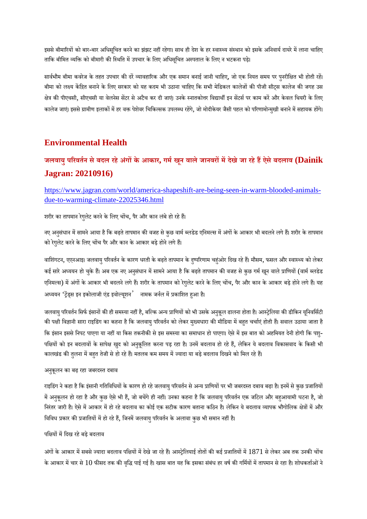इससे बीमारियों को बार-बार अधिसुचित करने का झंझट नहीं रहेगा। साथ ही देश के हर स्वास्थ्य संस्थान को इसके अनिवार्य दायरे में लाना चाहिए ताकि बीमित व्यक्ति को बीमारी की स्थिति में उपचार के लिए अधिसचित अस्पताल के लिए न भटकना पड़े।

सार्वभौम बीमा कवरेज के तहत उपचार की दरें व्यावहारिक और एक समान बनाई जानी चाहिए, जो एक नियत समय पर पुनरीक्षित भी होती रहें। बीमा को लक्ष्य केंद्रित बनाने के लिए सरकार को यह कदम भी उठाना चाहिए कि सभी मेडिकल कालेजों की पीजी सीट्स कालेज की जगह उस क्षेत्र की पीएचसी, सीएचसी या वेलनेस सेंटर से अटैच कर दी जाएं। उनके स्नातकोत्तर विद्यार्थी इन सेंटर्स पर काम करें और केवल थियरी के लिए कालेज जाएं। इससे ग्रामीण इलाकों में हर वक्त पेशेवर चिकित्सक उपलब्ध रहेंगे, जो मोदीकेयर जैसी पहल को परिणामोन्मुखी बनाने में सहायक होंगे।

#### **Environmental Health**

# **जलवायुपरवतन सेबदल रहेअंगके आकार, गमखून वालेजानवरमदेखेजा रहेहऐसेबदलाव (Dainik Jagran: 20210916)**

https://www.jagran.com/world/america-shapeshift-are-being-seen-in-warm-blooded-animalsdue-to-warming-climate-22025346.html

शरीर का तापमान रेगुलेट करने के लिए चोंच, पैर और कान लंबे हो रहे हैं।

नए अनुसंधान में सामने आया है कि बढ़ते तापमान की वजह से कुछ वार्म ब्लडेड एनिमल्स में अंगों के आकार भी बदलने लगे हैं। शरीर के तापमान को रेगुलेट करने के लिए चोंच पैर और कान के आकार बड़े होने लगे हैं।

वाशिंगटन, एएनआइ। जलवायु परिवर्तन के कारण धरती के बढ़ते तापमान के दुष्परिणाम चहुंओर दिख रहे हैं। मौसम, फसल और स्वास्थ्य को लेकर कई सारे अध्ययन हो चुके हैं। अब एक नए अनुसंधान में सामने आया है कि बढ़ते तापमान की वजह से कुछ गर्म खून वाले प्राणियों (वार्म ब्लडेड एनिमल्स) में अंगों के आकार भी बदलने लगे हैं। शरीर के तापमान को रेगुलेट करने के लिए चोंच, पैर और कान के आकार बड़े होने लगे हैं। यह अध्ययन 'ट्रेंड्स इन इकोलाजी एंड इवोल्यूशन' नामक जर्नल में प्रकाशित हुआ है।

जलवायु परिवर्तन सिर्फ इंसानों की ही समस्या नहीं है, बल्कि अन्य प्राणियों को भी उसके अनुकूल ढालना होता है। आस्ट्रेलिया की डीकिन यूनिवर्सिटी की पक्षी विज्ञानी सारा राइडिंग का कहना है कि जलवायु परिवर्तन को लेकर मुख्यधारा की मीडिया में बहत चर्चाएं होती हैं। सवाल उठाया जाता है कि इंसान इससे निपट पाएगा या नहीं या किस तकनीकी से इस समस्या का समाधान हो पाएगा। ऐसे में इस बात को अहमियत देनी होगी कि पशु-पक्षियों को इन बदलावों के सापेक्ष खुद को अनुकूलित करना पड़ रहा है। उनमें बदलाव हो रहे हैं, लेकिन ये बदलाव विकासवाद के किसी भी कालखंड की तुलना में बहत तेजी से हो रहे हैं। मतलब कम समय में ज्यादा या बड़े बदलाव दिखने को मिल रहे हैं।

#### अनकुूलन का बढ़ रहा जबरदत दबाव

राइडिंग ने कहा है कि इंसानी गतिविधियों के कारण हो रहे जलवायु परिवर्तन से अन्य प्राणियों पर भी जबरदस्त दबाव बढ़ा है। इनमें से कुछ प्रजातियों में अनुकूलन हो रहा है और कुछ ऐसे भी हैं, जो बचेंगे ही नहीं। उनका कहना है कि जलवायु परिवर्तन एक जटिल और बहुआयामी घटना है, जो निरंतर जारी है। ऐसे में आकार में हो रहे बदलाव का कोई एक सटीक कारण बताना कठिन है। लेकिन ये बदलाव व्यापक भौगोलिक क्षेत्रों में और विविध प्रकार की प्रजातियों में हो रहे हैं, जिनमें जलवायु परिवर्तन के अलावा कुछ भी समान नहीं है।

#### पक्षियों में दिख रहे बड़े बदलाव

अंगों के आकार में सबसे ज्यादा बदलाव पक्षियों में देखे जा रहे हैं। आस्ट्रेलियाई तोतों की कई प्रजातियों में 1871 से लेकर अब तक उनकी चोंच के आकार में चार से  $10$  फीसद तक की वृद्धि पाई गई है। खास बात यह कि इसका संबंध हर वर्ष की गर्मियों में तापमान से रहा है। शोधकर्ताओं ने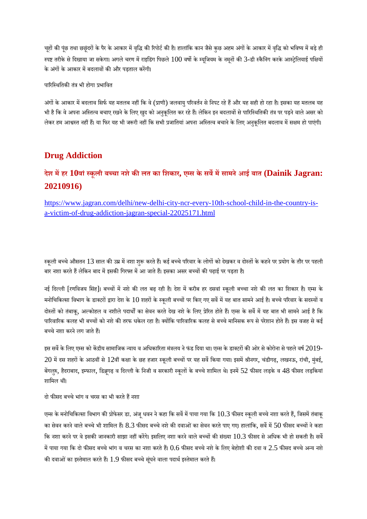चूहों की पूंछ तथा छछूंदरों के पैर के आकार में वृद्धि की रिपोर्ट की है। हालांकि कान जैसे कुछ अहम अंगों के आकार में वृद्धि को भविष्य में बड़े ही स्पष्ट तरीके से दिखाया जा सकेगा। अगले चरण में राइडिंग पिछले 100 वर्षो के म्यूजियम के नमूनों की 3-डी स्कैनिंग करके आस्ट्रेलियाई पक्षियों के अंगों के आकार में बदलावों की और पड़ताल करेंगी।

पारिस्थितिकी तंत्र भी होगा प्रभावित

अंगों के आकार में बदलाव सिर्फ यह मतलब नहीं कि वे (प्राणी) जलवायु परिवर्तन से निपट रहे हैं और यह सही हो रहा है। इसका यह मतलब यह भी है कि वे अपना अस्तित्व बचाए रखने के लिए खुद को अनुकूलित कर रहे हैं। लेकिन इन बदलावों से पारिस्थितिकी तंत्र पर पड़ने वाले असर को लेकर हम आश्वस्त नहीं हैं। या फिर यह भी जरूरी नहीं कि सभी प्रजातियां अपना अस्तित्व बचाने के लिए अनुकूलित बदलाव में सक्षम हो पाएंगी।

#### **Drug Addiction**

# **देश महर 10वांकूली बचा नशेकलत का िशकार, एस के सवमसामनेआई बात (Dainik Jagran: 20210916)**

https://www.jagran.com/delhi/new-delhi-city-ncr-every-10th-school-child-in-the-country-isa-victim-of-drug-addiction-jagran-special-22025171.html

स्कूली बच्चे औसतन  $13$  साल की उम्र में नशा शुरू करते हैं। कई बच्चे परिवार के लोगों को देखकर व दोस्तों के कहने पर प्रयोग के तौर पर पहली बार नशा करते हैं लेकिन बाद में इसकी गिरफ्त में आ जाते हैं। इसका असर बच्चों की पढ़ाई पर पड़ता है।

नई दिल्ली [रणविजय सिंह]। बच्चों में नशे की लत बढ़ रही है। देश में करीब हर दसवां स्कूली बच्चा नशे की लत का शिकार है। एम्स के मनोचिकित्सा विभाग के डाक्टरों द्वारा देश के  $10$  शहरों के स्कूली बच्चों पर किए गए सर्वे में यह बात सामने आई है। बच्चे परिवार के सदस्यों व दोस्तों को तंबाकू, अल्कोहल व नशीले पदार्थों का सेवन करते देख नशे के लिए प्रेरित होते हैं। एम्स के सर्वे में यह बात भी सामने आई है कि पारिवारिक कलह भी बच्चों को नशे की तरफ धकेल रहा है। क्योंकि पारिवारिक कलह से बच्चे मानिसक रूप से परेशान होते हैं। इस वजह से कई बच्चे नशा करने लग जाते हैं।

इस सर्वे के लिए एम्स को केंद्रीय सामाजिक न्याय व अधिकारिता मंत्रलय ने फंड दिया था। एम्स के डाक्टरों की ओर से कोरोना से पहले वर्ष 2019- $20$  में दस शहरों के आठवीं से  $12$ वीं कक्षा के छह हजार स्कूली बच्चों पर यह सर्वे किया गया। इसमें श्रीनगर, चंडीगढ़, लखनऊ, रांची, मुंबई, बेंगलुरु, हैदराबाद, इम्फाल, डिब्रूगढ़ व दिल्ली के निजी व सरकारी स्कूलों के बच्चे शामिल थे। इनमें 52 फीसद लड़के व 48 फीसद लड़कियां शामिल थीं।

<u>दो फीसद बच्चे भांग व चरस का भी करते हैं नशा</u>

एम्स के मनोचिकित्सा विभाग की प्रोफेसर डा. अंजू धवन ने कहा कि सर्वे में पाया गया कि  $10.3$  फीसद स्कूली बच्चे नशा करते हैं, जिसमें तंबाकू का सेवन करने वाले बच्चे भी शामिल हैं। 8.3 फीसद बच्चे नशे की दवाओं का सेवन करते पाए गए। हालांकि, सर्वे में 50 फीसद बच्चों ने कहा कि नशा करने पर वे इसकी जानकारी साझा नहीं करेंगे। इसलिए नशा करने वाले बच्चों की संख्या  $10.3$  फीसद से अधिक भी हो सकती है। सर्वे में पाया गया कि दो फीसद बच्चे भांग व चरस का नशा करते हैं।  $0.6$  फीसद बच्चे नशे के लिए बेहोशी की दवा व  $2.5$  फीसद बच्चे अन्य नशे की दवाओं का इस्तेमाल करते हैं। 1.9 फीसद बच्चे सुंघने वाला पदार्थ इस्तेमाल करते हैं।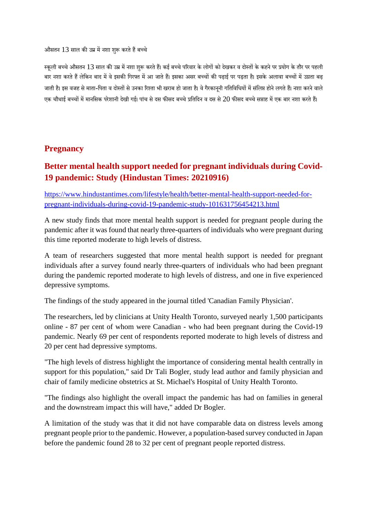औसतन 13 साल की उम्र में नशा शरू करते हैं बच्चे

स्कली बच्चे औसतन  $13$  साल की उम्र में नशा शरू करते हैं। कई बच्चे परिवार के लोगों को देखकर व दोस्तों के कहने पर प्रयोग के तौर पर पहली बार नशा करते हैं लेकिन बाद में वे इसकी गिरफ्त में आ जाते हैं। इसका असर बच्चों की पढ़ाई पर पड़ता है। इसके अलावा बच्चों में उग्रता बढ़ जाती है। इस वजह से माता-पिता व दोस्तों से उनका रिश्ता भी खराब हो जाता है। वे गैरकानूनी गतिविधियों में संलिप्त होने लगते हैं। नशा करने वाले एक चौथाई बच्चों में मानसिक परेशानी देखी गई। पांच से दस फीसद बच्चे प्रतिदिन व दस से 20 फीसद बच्चे सप्ताह में एक बार नशा करते हैं।

#### **Pregnancy**

# **Better mental health support needed for pregnant individuals during Covid-19 pandemic: Study (Hindustan Times: 20210916)**

https://www.hindustantimes.com/lifestyle/health/better-mental-health-support-needed-forpregnant-individuals-during-covid-19-pandemic-study-101631756454213.html

A new study finds that more mental health support is needed for pregnant people during the pandemic after it was found that nearly three-quarters of individuals who were pregnant during this time reported moderate to high levels of distress.

A team of researchers suggested that more mental health support is needed for pregnant individuals after a survey found nearly three-quarters of individuals who had been pregnant during the pandemic reported moderate to high levels of distress, and one in five experienced depressive symptoms.

The findings of the study appeared in the journal titled 'Canadian Family Physician'.

The researchers, led by clinicians at Unity Health Toronto, surveyed nearly 1,500 participants online - 87 per cent of whom were Canadian - who had been pregnant during the Covid-19 pandemic. Nearly 69 per cent of respondents reported moderate to high levels of distress and 20 per cent had depressive symptoms.

"The high levels of distress highlight the importance of considering mental health centrally in support for this population," said Dr Tali Bogler, study lead author and family physician and chair of family medicine obstetrics at St. Michael's Hospital of Unity Health Toronto.

"The findings also highlight the overall impact the pandemic has had on families in general and the downstream impact this will have," added Dr Bogler.

A limitation of the study was that it did not have comparable data on distress levels among pregnant people prior to the pandemic. However, a population-based survey conducted in Japan before the pandemic found 28 to 32 per cent of pregnant people reported distress.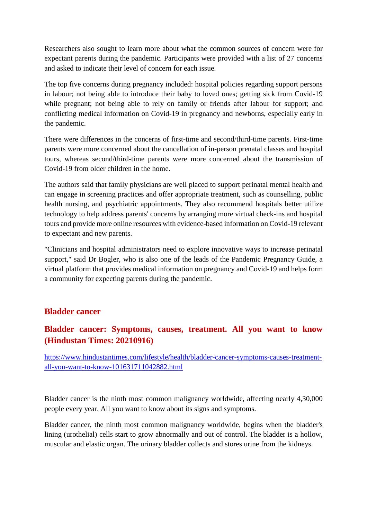Researchers also sought to learn more about what the common sources of concern were for expectant parents during the pandemic. Participants were provided with a list of 27 concerns and asked to indicate their level of concern for each issue.

The top five concerns during pregnancy included: hospital policies regarding support persons in labour; not being able to introduce their baby to loved ones; getting sick from Covid-19 while pregnant; not being able to rely on family or friends after labour for support; and conflicting medical information on Covid-19 in pregnancy and newborns, especially early in the pandemic.

There were differences in the concerns of first-time and second/third-time parents. First-time parents were more concerned about the cancellation of in-person prenatal classes and hospital tours, whereas second/third-time parents were more concerned about the transmission of Covid-19 from older children in the home.

The authors said that family physicians are well placed to support perinatal mental health and can engage in screening practices and offer appropriate treatment, such as counselling, public health nursing, and psychiatric appointments. They also recommend hospitals better utilize technology to help address parents' concerns by arranging more virtual check-ins and hospital tours and provide more online resources with evidence-based information on Covid-19 relevant to expectant and new parents.

"Clinicians and hospital administrators need to explore innovative ways to increase perinatal support," said Dr Bogler, who is also one of the leads of the Pandemic Pregnancy Guide, a virtual platform that provides medical information on pregnancy and Covid-19 and helps form a community for expecting parents during the pandemic.

#### **Bladder cancer**

# **Bladder cancer: Symptoms, causes, treatment. All you want to know (Hindustan Times: 20210916)**

https://www.hindustantimes.com/lifestyle/health/bladder-cancer-symptoms-causes-treatmentall-you-want-to-know-101631711042882.html

Bladder cancer is the ninth most common malignancy worldwide, affecting nearly 4,30,000 people every year. All you want to know about its signs and symptoms.

Bladder cancer, the ninth most common malignancy worldwide, begins when the bladder's lining (urothelial) cells start to grow abnormally and out of control. The bladder is a hollow, muscular and elastic organ. The urinary bladder collects and stores urine from the kidneys.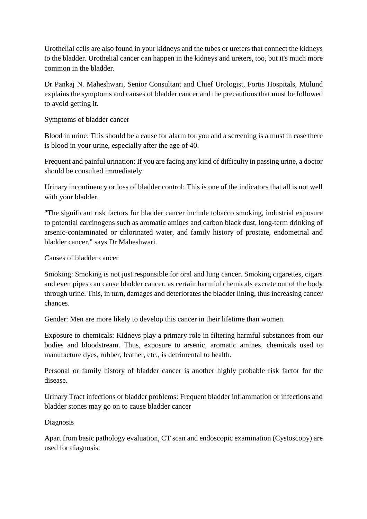Urothelial cells are also found in your kidneys and the tubes or ureters that connect the kidneys to the bladder. Urothelial cancer can happen in the kidneys and ureters, too, but it's much more common in the bladder.

Dr Pankaj N. Maheshwari, Senior Consultant and Chief Urologist, Fortis Hospitals, Mulund explains the symptoms and causes of bladder cancer and the precautions that must be followed to avoid getting it.

#### Symptoms of bladder cancer

Blood in urine: This should be a cause for alarm for you and a screening is a must in case there is blood in your urine, especially after the age of 40.

Frequent and painful urination: If you are facing any kind of difficulty in passing urine, a doctor should be consulted immediately.

Urinary incontinency or loss of bladder control: This is one of the indicators that all is not well with your bladder.

"The significant risk factors for bladder cancer include tobacco smoking, industrial exposure to potential carcinogens such as aromatic amines and carbon black dust, long-term drinking of arsenic-contaminated or chlorinated water, and family history of prostate, endometrial and bladder cancer," says Dr Maheshwari.

Causes of bladder cancer

Smoking: Smoking is not just responsible for oral and lung cancer. Smoking cigarettes, cigars and even pipes can cause bladder cancer, as certain harmful chemicals excrete out of the body through urine. This, in turn, damages and deteriorates the bladder lining, thus increasing cancer chances.

Gender: Men are more likely to develop this cancer in their lifetime than women.

Exposure to chemicals: Kidneys play a primary role in filtering harmful substances from our bodies and bloodstream. Thus, exposure to arsenic, aromatic amines, chemicals used to manufacture dyes, rubber, leather, etc., is detrimental to health.

Personal or family history of bladder cancer is another highly probable risk factor for the disease.

Urinary Tract infections or bladder problems: Frequent bladder inflammation or infections and bladder stones may go on to cause bladder cancer

#### Diagnosis

Apart from basic pathology evaluation, CT scan and endoscopic examination (Cystoscopy) are used for diagnosis.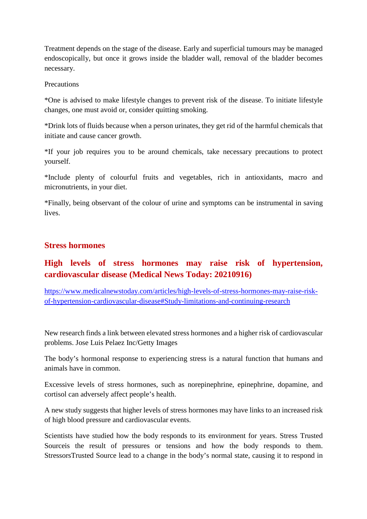Treatment depends on the stage of the disease. Early and superficial tumours may be managed endoscopically, but once it grows inside the bladder wall, removal of the bladder becomes necessary.

**Precautions** 

\*One is advised to make lifestyle changes to prevent risk of the disease. To initiate lifestyle changes, one must avoid or, consider quitting smoking.

\*Drink lots of fluids because when a person urinates, they get rid of the harmful chemicals that initiate and cause cancer growth.

\*If your job requires you to be around chemicals, take necessary precautions to protect yourself.

\*Include plenty of colourful fruits and vegetables, rich in antioxidants, macro and micronutrients, in your diet.

\*Finally, being observant of the colour of urine and symptoms can be instrumental in saving lives.

#### **Stress hormones**

# **High levels of stress hormones may raise risk of hypertension, cardiovascular disease (Medical News Today: 20210916)**

https://www.medicalnewstoday.com/articles/high-levels-of-stress-hormones-may-raise-riskof-hypertension-cardiovascular-disease#Study-limitations-and-continuing-research

New research finds a link between elevated stress hormones and a higher risk of cardiovascular problems. Jose Luis Pelaez Inc/Getty Images

The body's hormonal response to experiencing stress is a natural function that humans and animals have in common.

Excessive levels of stress hormones, such as norepinephrine, epinephrine, dopamine, and cortisol can adversely affect people's health.

A new study suggests that higher levels of stress hormones may have links to an increased risk of high blood pressure and cardiovascular events.

Scientists have studied how the body responds to its environment for years. Stress Trusted Sourceis the result of pressures or tensions and how the body responds to them. StressorsTrusted Source lead to a change in the body's normal state, causing it to respond in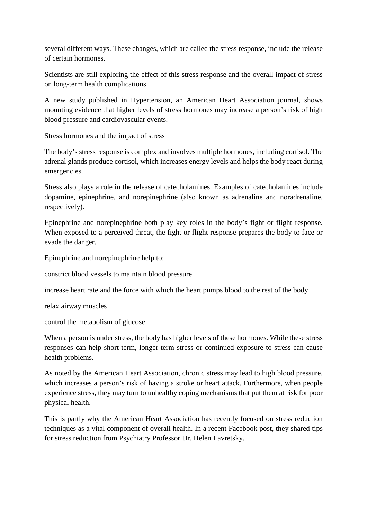several different ways. These changes, which are called the stress response, include the release of certain hormones.

Scientists are still exploring the effect of this stress response and the overall impact of stress on long-term health complications.

A new study published in Hypertension, an American Heart Association journal, shows mounting evidence that higher levels of stress hormones may increase a person's risk of high blood pressure and cardiovascular events.

Stress hormones and the impact of stress

The body's stress response is complex and involves multiple hormones, including cortisol. The adrenal glands produce cortisol, which increases energy levels and helps the body react during emergencies.

Stress also plays a role in the release of catecholamines. Examples of catecholamines include dopamine, epinephrine, and norepinephrine (also known as adrenaline and noradrenaline, respectively).

Epinephrine and norepinephrine both play key roles in the body's fight or flight response. When exposed to a perceived threat, the fight or flight response prepares the body to face or evade the danger.

Epinephrine and norepinephrine help to:

constrict blood vessels to maintain blood pressure

increase heart rate and the force with which the heart pumps blood to the rest of the body

relax airway muscles

control the metabolism of glucose

When a person is under stress, the body has higher levels of these hormones. While these stress responses can help short-term, longer-term stress or continued exposure to stress can cause health problems.

As noted by the American Heart Association, chronic stress may lead to high blood pressure, which increases a person's risk of having a stroke or heart attack. Furthermore, when people experience stress, they may turn to unhealthy coping mechanisms that put them at risk for poor physical health.

This is partly why the American Heart Association has recently focused on stress reduction techniques as a vital component of overall health. In a recent Facebook post, they shared tips for stress reduction from Psychiatry Professor Dr. Helen Lavretsky.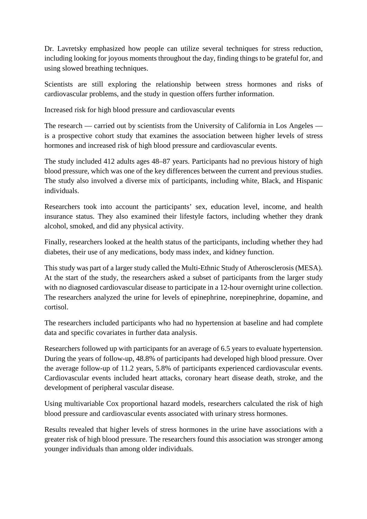Dr. Lavretsky emphasized how people can utilize several techniques for stress reduction, including looking for joyous moments throughout the day, finding things to be grateful for, and using slowed breathing techniques.

Scientists are still exploring the relationship between stress hormones and risks of cardiovascular problems, and the study in question offers further information.

Increased risk for high blood pressure and cardiovascular events

The research — carried out by scientists from the University of California in Los Angeles is a prospective cohort study that examines the association between higher levels of stress hormones and increased risk of high blood pressure and cardiovascular events.

The study included 412 adults ages 48–87 years. Participants had no previous history of high blood pressure, which was one of the key differences between the current and previous studies. The study also involved a diverse mix of participants, including white, Black, and Hispanic individuals.

Researchers took into account the participants' sex, education level, income, and health insurance status. They also examined their lifestyle factors, including whether they drank alcohol, smoked, and did any physical activity.

Finally, researchers looked at the health status of the participants, including whether they had diabetes, their use of any medications, body mass index, and kidney function.

This study was part of a larger study called the Multi-Ethnic Study of Atherosclerosis (MESA). At the start of the study, the researchers asked a subset of participants from the larger study with no diagnosed cardiovascular disease to participate in a 12-hour overnight urine collection. The researchers analyzed the urine for levels of epinephrine, norepinephrine, dopamine, and cortisol.

The researchers included participants who had no hypertension at baseline and had complete data and specific covariates in further data analysis.

Researchers followed up with participants for an average of 6.5 years to evaluate hypertension. During the years of follow-up, 48.8% of participants had developed high blood pressure. Over the average follow-up of 11.2 years, 5.8% of participants experienced cardiovascular events. Cardiovascular events included heart attacks, coronary heart disease death, stroke, and the development of peripheral vascular disease.

Using multivariable Cox proportional hazard models, researchers calculated the risk of high blood pressure and cardiovascular events associated with urinary stress hormones.

Results revealed that higher levels of stress hormones in the urine have associations with a greater risk of high blood pressure. The researchers found this association was stronger among younger individuals than among older individuals.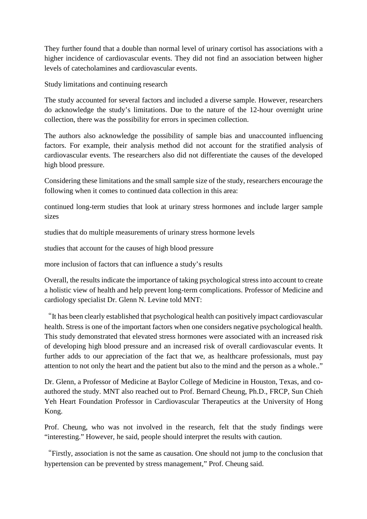They further found that a double than normal level of urinary cortisol has associations with a higher incidence of cardiovascular events. They did not find an association between higher levels of catecholamines and cardiovascular events.

Study limitations and continuing research

The study accounted for several factors and included a diverse sample. However, researchers do acknowledge the study's limitations. Due to the nature of the 12-hour overnight urine collection, there was the possibility for errors in specimen collection.

The authors also acknowledge the possibility of sample bias and unaccounted influencing factors. For example, their analysis method did not account for the stratified analysis of cardiovascular events. The researchers also did not differentiate the causes of the developed high blood pressure.

Considering these limitations and the small sample size of the study, researchers encourage the following when it comes to continued data collection in this area:

continued long-term studies that look at urinary stress hormones and include larger sample sizes

studies that do multiple measurements of urinary stress hormone levels

studies that account for the causes of high blood pressure

more inclusion of factors that can influence a study's results

Overall, the results indicate the importance of taking psychological stress into account to create a holistic view of health and help prevent long-term complications. Professor of Medicine and cardiology specialist Dr. Glenn N. Levine told MNT:

"It has been clearly established that psychological health can positively impact cardiovascular health. Stress is one of the important factors when one considers negative psychological health. This study demonstrated that elevated stress hormones were associated with an increased risk of developing high blood pressure and an increased risk of overall cardiovascular events. It further adds to our appreciation of the fact that we, as healthcare professionals, must pay attention to not only the heart and the patient but also to the mind and the person as a whole.."

Dr. Glenn, a Professor of Medicine at Baylor College of Medicine in Houston, Texas, and coauthored the study. MNT also reached out to Prof. Bernard Cheung, Ph.D., FRCP, Sun Chieh Yeh Heart Foundation Professor in Cardiovascular Therapeutics at the University of Hong Kong.

Prof. Cheung, who was not involved in the research, felt that the study findings were "interesting." However, he said, people should interpret the results with caution.

"Firstly, association is not the same as causation. One should not jump to the conclusion that hypertension can be prevented by stress management," Prof. Cheung said.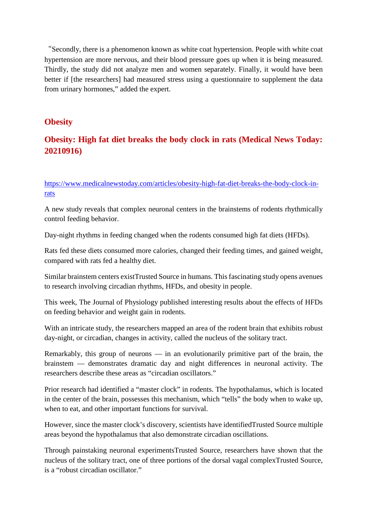"Secondly, there is a phenomenon known as white coat hypertension. People with white coat hypertension are more nervous, and their blood pressure goes up when it is being measured. Thirdly, the study did not analyze men and women separately. Finally, it would have been better if [the researchers] had measured stress using a questionnaire to supplement the data from urinary hormones," added the expert.

#### **Obesity**

# **Obesity: High fat diet breaks the body clock in rats (Medical News Today: 20210916)**

https://www.medicalnewstoday.com/articles/obesity-high-fat-diet-breaks-the-body-clock-inrats

A new study reveals that complex neuronal centers in the brainstems of rodents rhythmically control feeding behavior.

Day-night rhythms in feeding changed when the rodents consumed high fat diets (HFDs).

Rats fed these diets consumed more calories, changed their feeding times, and gained weight, compared with rats fed a healthy diet.

Similar brainstem centers existTrusted Source in humans. This fascinating study opens avenues to research involving circadian rhythms, HFDs, and obesity in people.

This week, The Journal of Physiology published interesting results about the effects of HFDs on feeding behavior and weight gain in rodents.

With an intricate study, the researchers mapped an area of the rodent brain that exhibits robust day-night, or circadian, changes in activity, called the nucleus of the solitary tract.

Remarkably, this group of neurons — in an evolutionarily primitive part of the brain, the brainstem — demonstrates dramatic day and night differences in neuronal activity. The researchers describe these areas as "circadian oscillators."

Prior research had identified a "master clock" in rodents. The hypothalamus, which is located in the center of the brain, possesses this mechanism, which "tells" the body when to wake up, when to eat, and other important functions for survival.

However, since the master clock's discovery, scientists have identifiedTrusted Source multiple areas beyond the hypothalamus that also demonstrate circadian oscillations.

Through painstaking neuronal experimentsTrusted Source, researchers have shown that the nucleus of the solitary tract, one of three portions of the dorsal vagal complexTrusted Source, is a "robust circadian oscillator."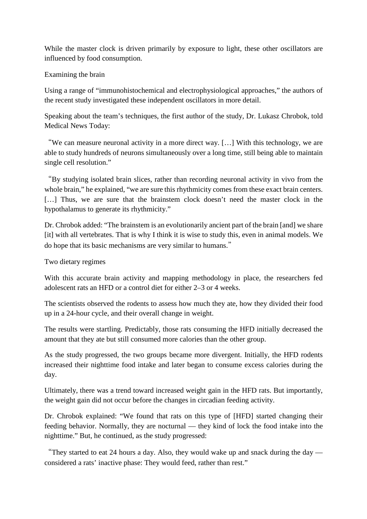While the master clock is driven primarily by exposure to light, these other oscillators are influenced by food consumption.

#### Examining the brain

Using a range of "immunohistochemical and electrophysiological approaches," the authors of the recent study investigated these independent oscillators in more detail.

Speaking about the team's techniques, the first author of the study, Dr. Lukasz Chrobok, told Medical News Today:

"We can measure neuronal activity in a more direct way. […] With this technology, we are able to study hundreds of neurons simultaneously over a long time, still being able to maintain single cell resolution."

"By studying isolated brain slices, rather than recording neuronal activity in vivo from the whole brain," he explained, "we are sure this rhythmicity comes from these exact brain centers. [...] Thus, we are sure that the brainstem clock doesn't need the master clock in the hypothalamus to generate its rhythmicity."

Dr. Chrobok added: "The brainstem is an evolutionarily ancient part of the brain [and] we share [it] with all vertebrates. That is why I think it is wise to study this, even in animal models. We do hope that its basic mechanisms are very similar to humans."

Two dietary regimes

With this accurate brain activity and mapping methodology in place, the researchers fed adolescent rats an HFD or a control diet for either 2–3 or 4 weeks.

The scientists observed the rodents to assess how much they ate, how they divided their food up in a 24-hour cycle, and their overall change in weight.

The results were startling. Predictably, those rats consuming the HFD initially decreased the amount that they ate but still consumed more calories than the other group.

As the study progressed, the two groups became more divergent. Initially, the HFD rodents increased their nighttime food intake and later began to consume excess calories during the day.

Ultimately, there was a trend toward increased weight gain in the HFD rats. But importantly, the weight gain did not occur before the changes in circadian feeding activity.

Dr. Chrobok explained: "We found that rats on this type of [HFD] started changing their feeding behavior. Normally, they are nocturnal — they kind of lock the food intake into the nighttime." But, he continued, as the study progressed:

"They started to eat 24 hours a day. Also, they would wake up and snack during the day considered a rats' inactive phase: They would feed, rather than rest."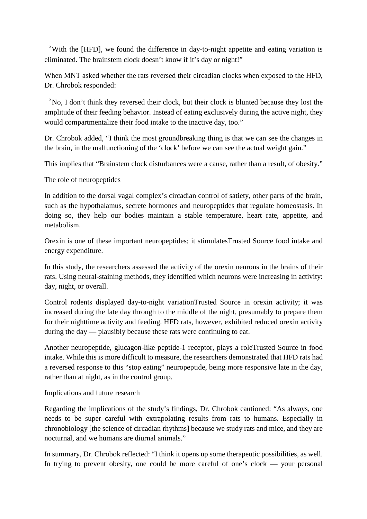"With the [HFD], we found the difference in day-to-night appetite and eating variation is eliminated. The brainstem clock doesn't know if it's day or night!"

When MNT asked whether the rats reversed their circadian clocks when exposed to the HFD, Dr. Chrobok responded:

"No, I don't think they reversed their clock, but their clock is blunted because they lost the amplitude of their feeding behavior. Instead of eating exclusively during the active night, they would compartmentalize their food intake to the inactive day, too."

Dr. Chrobok added, "I think the most groundbreaking thing is that we can see the changes in the brain, in the malfunctioning of the 'clock' before we can see the actual weight gain."

This implies that "Brainstem clock disturbances were a cause, rather than a result, of obesity."

The role of neuropeptides

In addition to the dorsal vagal complex's circadian control of satiety, other parts of the brain, such as the hypothalamus, secrete hormones and neuropeptides that regulate homeostasis. In doing so, they help our bodies maintain a stable temperature, heart rate, appetite, and metabolism.

Orexin is one of these important neuropeptides; it stimulatesTrusted Source food intake and energy expenditure.

In this study, the researchers assessed the activity of the orexin neurons in the brains of their rats. Using neural-staining methods, they identified which neurons were increasing in activity: day, night, or overall.

Control rodents displayed day-to-night variationTrusted Source in orexin activity; it was increased during the late day through to the middle of the night, presumably to prepare them for their nighttime activity and feeding. HFD rats, however, exhibited reduced orexin activity during the day — plausibly because these rats were continuing to eat.

Another neuropeptide, glucagon-like peptide-1 receptor, plays a roleTrusted Source in food intake. While this is more difficult to measure, the researchers demonstrated that HFD rats had a reversed response to this "stop eating" neuropeptide, being more responsive late in the day, rather than at night, as in the control group.

Implications and future research

Regarding the implications of the study's findings, Dr. Chrobok cautioned: "As always, one needs to be super careful with extrapolating results from rats to humans. Especially in chronobiology [the science of circadian rhythms] because we study rats and mice, and they are nocturnal, and we humans are diurnal animals."

In summary, Dr. Chrobok reflected: "I think it opens up some therapeutic possibilities, as well. In trying to prevent obesity, one could be more careful of one's clock — your personal